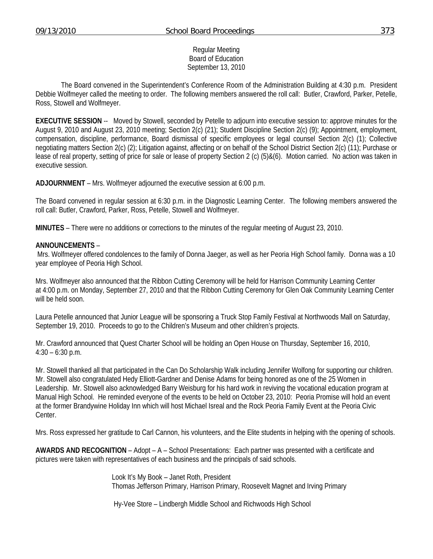### Regular Meeting Board of Education September 13, 2010

 The Board convened in the Superintendent's Conference Room of the Administration Building at 4:30 p.m. President Debbie Wolfmeyer called the meeting to order. The following members answered the roll call: Butler, Crawford, Parker, Petelle, Ross, Stowell and Wolfmeyer.

**EXECUTIVE SESSION** -- Moved by Stowell, seconded by Petelle to adjourn into executive session to: approve minutes for the August 9, 2010 and August 23, 2010 meeting; Section 2(c) (21); Student Discipline Section 2(c) (9); Appointment, employment, compensation, discipline, performance, Board dismissal of specific employees or legal counsel Section 2(c) (1); Collective negotiating matters Section 2(c) (2); Litigation against, affecting or on behalf of the School District Section 2(c) (11); Purchase or lease of real property, setting of price for sale or lease of property Section 2 (c) (5)&(6). Motion carried. No action was taken in executive session.

**ADJOURNMENT** – Mrs. Wolfmeyer adjourned the executive session at 6:00 p.m.

The Board convened in regular session at 6:30 p.m. in the Diagnostic Learning Center. The following members answered the roll call: Butler, Crawford, Parker, Ross, Petelle, Stowell and Wolfmeyer.

**MINUTES** – There were no additions or corrections to the minutes of the regular meeting of August 23, 2010.

#### **ANNOUNCEMENTS** –

 Mrs. Wolfmeyer offered condolences to the family of Donna Jaeger, as well as her Peoria High School family. Donna was a 10 year employee of Peoria High School.

Mrs. Wolfmeyer also announced that the Ribbon Cutting Ceremony will be held for Harrison Community Learning Center at 4:00 p.m. on Monday, September 27, 2010 and that the Ribbon Cutting Ceremony for Glen Oak Community Learning Center will be held soon.

Laura Petelle announced that Junior League will be sponsoring a Truck Stop Family Festival at Northwoods Mall on Saturday, September 19, 2010. Proceeds to go to the Children's Museum and other children's projects.

Mr. Crawford announced that Quest Charter School will be holding an Open House on Thursday, September 16, 2010,  $4:30 - 6:30$  p.m.

Mr. Stowell thanked all that participated in the Can Do Scholarship Walk including Jennifer Wolfong for supporting our children. Mr. Stowell also congratulated Hedy Elliott-Gardner and Denise Adams for being honored as one of the 25 Women in Leadership. Mr. Stowell also acknowledged Barry Weisburg for his hard work in reviving the vocational education program at Manual High School. He reminded everyone of the events to be held on October 23, 2010: Peoria Promise will hold an event at the former Brandywine Holiday Inn which will host Michael Isreal and the Rock Peoria Family Event at the Peoria Civic Center.

Mrs. Ross expressed her gratitude to Carl Cannon, his volunteers, and the Elite students in helping with the opening of schools.

**AWARDS AND RECOGNITION** – Adopt – A – School Presentations: Each partner was presented with a certificate and pictures were taken with representatives of each business and the principals of said schools.

> Look It's My Book – Janet Roth, President Thomas Jefferson Primary, Harrison Primary, Roosevelt Magnet and Irving Primary

Hy-Vee Store – Lindbergh Middle School and Richwoods High School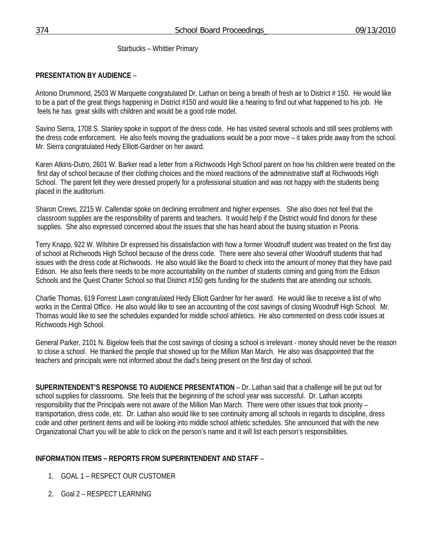Starbucks – Whittier Primary

# **PRESENTATION BY AUDIENCE** –

Antonio Drummond, 2503 W Marquette congratulated Dr. Lathan on being a breath of fresh air to District # 150. He would like to be a part of the great things happening in District #150 and would like a hearing to find out what happened to his job. He feels he has great skills with children and would be a good role model.

Savino Sierra, 1708 S. Stanley spoke in support of the dress code. He has visited several schools and still sees problems with the dress code enforcement. He also feels moving the graduations would be a poor move – it takes pride away from the school. Mr. Sierra congratulated Hedy Elliott-Gardner on her award.

Karen Atkins-Dutro, 2601 W. Barker read a letter from a Richwoods High School parent on how his children were treated on the first day of school because of their clothing choices and the mixed reactions of the administrative staff at Richwoods High School. The parent felt they were dressed properly for a professional situation and was not happy with the students being placed in the auditorium.

Sharon Crews, 2215 W. Callendar spoke on declining enrollment and higher expenses. She also does not feel that the classroom supplies are the responsibility of parents and teachers. It would help if the District would find donors for these supplies. She also expressed concerned about the issues that she has heard about the busing situation in Peoria.

Terry Knapp, 922 W. Wilshire Dr expressed his dissatisfaction with how a former Woodruff student was treated on the first day of school at Richwoods High School because of the dress code. There were also several other Woodruff students that had issues with the dress code at Richwoods. He also would like the Board to check into the amount of money that they have paid Edison. He also feels there needs to be more accountability on the number of students coming and going from the Edison Schools and the Quest Charter School so that District #150 gets funding for the students that are attending our schools.

Charlie Thomas, 619 Forrest Lawn congratulated Hedy Elliott Gardner for her award. He would like to receive a list of who works in the Central Office. He also would like to see an accounting of the cost savings of closing Woodruff High School. Mr. Thomas would like to see the schedules expanded for middle school athletics. He also commented on dress code issues at Richwoods High School.

General Parker, 2101 N. Bigelow feels that the cost savings of closing a school is irrelevant - money should never be the reason to close a school. He thanked the people that showed up for the Million Man March. He also was disappointed that the teachers and principals were not informed about the dad's being present on the first day of school.

**SUPERINTENDENT'S RESPONSE TO AUDIENCE PRESENTATION** – Dr. Lathan said that a challenge will be put out for school supplies for classrooms. She feels that the beginning of the school year was successful. Dr. Lathan accepts responsibility that the Principals were not aware of the Million Man March. There were other issues that took priority – transportation, dress code, etc. Dr. Lathan also would like to see continuity among all schools in regards to discipline, dress code and other pertinent items and will be looking into middle school athletic schedules. She announced that with the new Organizational Chart you will be able to click on the person's name and it will list each person's responsibilities.

# **INFORMATION ITEMS – REPORTS FROM SUPERINTENDENT AND STAFF** –

- 1. GOAL 1 RESPECT OUR CUSTOMER
- 2. Goal 2 RESPECT LEARNING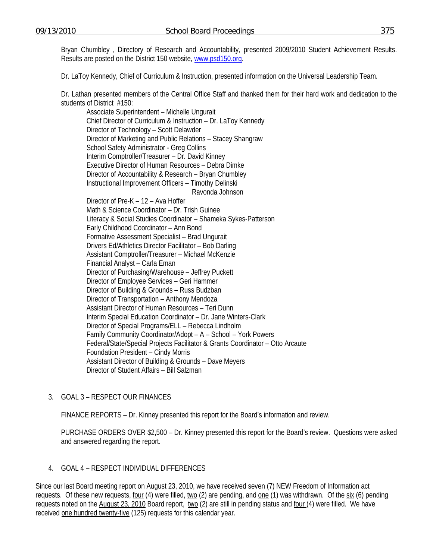Bryan Chumbley , Directory of Research and Accountability, presented 2009/2010 Student Achievement Results. Results are posted on the District 150 website, [www.psd150.org](http://www.psd150.org/).

Dr. LaToy Kennedy, Chief of Curriculum & Instruction, presented information on the Universal Leadership Team.

Dr. Lathan presented members of the Central Office Staff and thanked them for their hard work and dedication to the students of District #150:

 Associate Superintendent – Michelle Ungurait Chief Director of Curriculum & Instruction – Dr. LaToy Kennedy Director of Technology – Scott Delawder Director of Marketing and Public Relations – Stacey Shangraw School Safety Administrator - Greg Collins Interim Comptroller/Treasurer – Dr. David Kinney Executive Director of Human Resources – Debra Dimke Director of Accountability & Research – Bryan Chumbley Instructional Improvement Officers – Timothy Delinski Ravonda Johnson Director of Pre-K – 12 – Ava Hoffer Math & Science Coordinator – Dr. Trish Guinee Literacy & Social Studies Coordinator – Shameka Sykes-Patterson Early Childhood Coordinator – Ann Bond Formative Assessment Specialist – Brad Ungurait Drivers Ed/Athletics Director Facilitator – Bob Darling Assistant Comptroller/Treasurer – Michael McKenzie Financial Analyst – Carla Eman

Director of Purchasing/Warehouse – Jeffrey Puckett

Director of Employee Services – Geri Hammer

Director of Building & Grounds – Russ Budzban

Director of Transportation – Anthony Mendoza Assistant Director of Human Resources – Teri Dunn

Interim Special Education Coordinator – Dr. Jane Winters-Clark

Director of Special Programs/ELL – Rebecca Lindholm

Family Community Coordinator/Adopt – A – School – York Powers

Federal/State/Special Projects Facilitator & Grants Coordinator – Otto Arcaute

Foundation President – Cindy Morris

Assistant Director of Building & Grounds – Dave Meyers Director of Student Affairs – Bill Salzman

## 3. GOAL 3 – RESPECT OUR FINANCES

FINANCE REPORTS – Dr. Kinney presented this report for the Board's information and review.

 PURCHASE ORDERS OVER \$2,500 – Dr. Kinney presented this report for the Board's review. Questions were asked and answered regarding the report.

## 4. GOAL 4 – RESPECT INDIVIDUAL DIFFERENCES

Since our last Board meeting report on August 23, 2010, we have received seven (7) NEW Freedom of Information act requests. Of these new requests, four (4) were filled, two (2) are pending, and one (1) was withdrawn. Of the six (6) pending requests noted on the August 23, 2010 Board report, two (2) are still in pending status and four (4) were filled. We have received one hundred twenty-five (125) requests for this calendar year.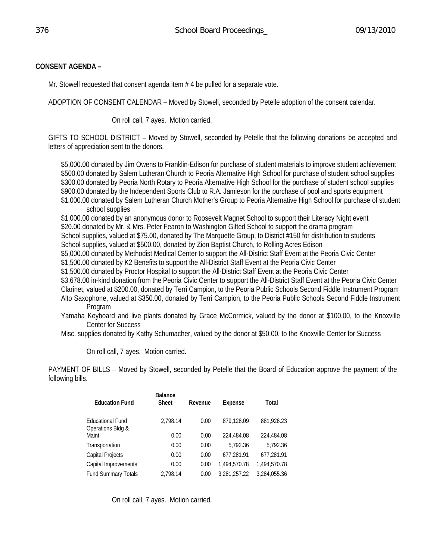## **CONSENT AGENDA –**

Mr. Stowell requested that consent agenda item # 4 be pulled for a separate vote.

ADOPTION OF CONSENT CALENDAR – Moved by Stowell, seconded by Petelle adoption of the consent calendar.

On roll call, 7 ayes. Motion carried.

GIFTS TO SCHOOL DISTRICT – Moved by Stowell, seconded by Petelle that the following donations be accepted and letters of appreciation sent to the donors.

\$5,000.00 donated by Jim Owens to Franklin-Edison for purchase of student materials to improve student achievement \$500.00 donated by Salem Lutheran Church to Peoria Alternative High School for purchase of student school supplies \$300.00 donated by Peoria North Rotary to Peoria Alternative High School for the purchase of student school supplies \$900.00 donated by the Independent Sports Club to R.A. Jamieson for the purchase of pool and sports equipment \$1,000.00 donated by Salem Lutheran Church Mother's Group to Peoria Alternative High School for purchase of student school supplies

\$1,000.00 donated by an anonymous donor to Roosevelt Magnet School to support their Literacy Night event \$20.00 donated by Mr. & Mrs. Peter Fearon to Washington Gifted School to support the drama program School supplies, valued at \$75.00, donated by The Marquette Group, to District #150 for distribution to students School supplies, valued at \$500.00, donated by Zion Baptist Church, to Rolling Acres Edison \$5,000.00 donated by Methodist Medical Center to support the All-District Staff Event at the Peoria Civic Center \$1,500.00 donated by K2 Benefits to support the All-District Staff Event at the Peoria Civic Center \$1,500.00 donated by Proctor Hospital to support the All-District Staff Event at the Peoria Civic Center \$3,678.00 in-kind donation from the Peoria Civic Center to support the All-District Staff Event at the Peoria Civic Center Clarinet, valued at \$200.00, donated by Terri Campion, to the Peoria Public Schools Second Fiddle Instrument Program Alto Saxophone, valued at \$350.00, donated by Terri Campion, to the Peoria Public Schools Second Fiddle Instrument Program

Yamaha Keyboard and live plants donated by Grace McCormick, valued by the donor at \$100.00, to the Knoxville Center for Success

Misc. supplies donated by Kathy Schumacher, valued by the donor at \$50.00, to the Knoxville Center for Success

On roll call, 7 ayes. Motion carried.

PAYMENT OF BILLS – Moved by Stowell, seconded by Petelle that the Board of Education approve the payment of the following bills.

| <b>Education Fund</b>                        | <b>Balance</b><br><b>Sheet</b> | Revenue | Expense      | Total        |
|----------------------------------------------|--------------------------------|---------|--------------|--------------|
| <b>Educational Fund</b><br>Operations Bldg & | 2.798.14                       | 0.00    | 879.128.09   | 881,926.23   |
| Maint                                        | 0.00                           | 0.00    | 224,484.08   | 224.484.08   |
| Transportation                               | 0.00                           | 0.00    | 5.792.36     | 5,792.36     |
| Capital Projects                             | 0.00                           | 0.00    | 677,281.91   | 677,281.91   |
| Capital Improvements                         | 0.00                           | 0.00    | 1.494.570.78 | 1.494.570.78 |
| <b>Fund Summary Totals</b>                   | 2.798.14                       | 0.00    | 3.281.257.22 | 3.284.055.36 |

On roll call, 7 ayes. Motion carried.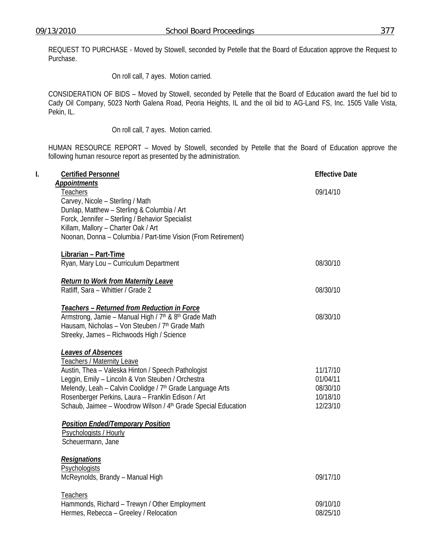REQUEST TO PURCHASE - Moved by Stowell, seconded by Petelle that the Board of Education approve the Request to Purchase.

On roll call, 7 ayes. Motion carried.

CONSIDERATION OF BIDS – Moved by Stowell, seconded by Petelle that the Board of Education award the fuel bid to Cady Oil Company, 5023 North Galena Road, Peoria Heights, IL and the oil bid to AG-Land FS, Inc. 1505 Valle Vista, Pekin, IL.

On roll call, 7 ayes. Motion carried.

HUMAN RESOURCE REPORT – Moved by Stowell, seconded by Petelle that the Board of Education approve the following human resource report as presented by the administration.

| l. | <b>Certified Personnel</b>                                                                                                                                                                                                                                                                                                                                                            | <b>Effective Date</b>                                    |
|----|---------------------------------------------------------------------------------------------------------------------------------------------------------------------------------------------------------------------------------------------------------------------------------------------------------------------------------------------------------------------------------------|----------------------------------------------------------|
|    | <b>Appointments</b><br>Teachers<br>Carvey, Nicole - Sterling / Math<br>Dunlap, Matthew - Sterling & Columbia / Art<br>Forck, Jennifer - Sterling / Behavior Specialist                                                                                                                                                                                                                | 09/14/10                                                 |
|    | Killam, Mallory - Charter Oak / Art<br>Noonan, Donna - Columbia / Part-time Vision (From Retirement)                                                                                                                                                                                                                                                                                  |                                                          |
|    | Librarian - Part-Time<br>Ryan, Mary Lou - Curriculum Department                                                                                                                                                                                                                                                                                                                       | 08/30/10                                                 |
|    | <b>Return to Work from Maternity Leave</b><br>Ratliff, Sara - Whittier / Grade 2                                                                                                                                                                                                                                                                                                      | 08/30/10                                                 |
|    | Teachers - Returned from Reduction in Force<br>Armstrong, Jamie - Manual High / 7th & 8th Grade Math<br>Hausam, Nicholas - Von Steuben / 7th Grade Math<br>Streeky, James - Richwoods High / Science                                                                                                                                                                                  | 08/30/10                                                 |
|    | <b>Leaves of Absences</b><br><b>Teachers / Maternity Leave</b><br>Austin, Thea - Valeska Hinton / Speech Pathologist<br>Leggin, Emily - Lincoln & Von Steuben / Orchestra<br>Melendy, Leah - Calvin Coolidge / 7 <sup>th</sup> Grade Language Arts<br>Rosenberger Perkins, Laura - Franklin Edison / Art<br>Schaub, Jaimee - Woodrow Wilson / 4 <sup>th</sup> Grade Special Education | 11/17/10<br>01/04/11<br>08/30/10<br>10/18/10<br>12/23/10 |
|    | <b>Position Ended/Temporary Position</b><br>Psychologists / Hourly<br>Scheuermann, Jane                                                                                                                                                                                                                                                                                               |                                                          |
|    | <b>Resignations</b><br>Psychologists<br>McReynolds, Brandy - Manual High                                                                                                                                                                                                                                                                                                              | 09/17/10                                                 |
|    | Teachers<br>Hammonds, Richard - Trewyn / Other Employment<br>Hermes, Rebecca - Greeley / Relocation                                                                                                                                                                                                                                                                                   | 09/10/10<br>08/25/10                                     |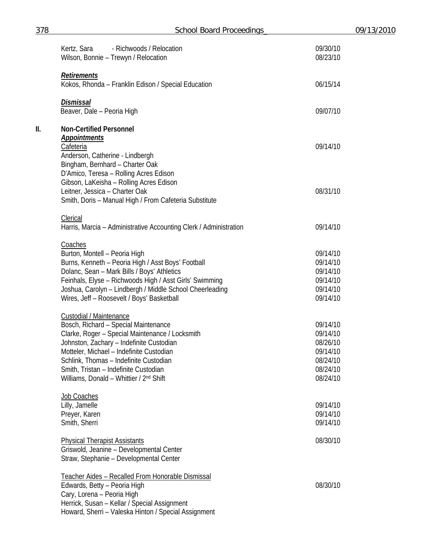| 378 | <b>School Board Proceedings</b>                                                                                             | 09/13/2010           |  |
|-----|-----------------------------------------------------------------------------------------------------------------------------|----------------------|--|
|     | Kertz, Sara<br>- Richwoods / Relocation<br>Wilson, Bonnie - Trewyn / Relocation                                             | 09/30/10<br>08/23/10 |  |
|     | Retirements<br>Kokos, Rhonda - Franklin Edison / Special Education                                                          | 06/15/14             |  |
|     | <b>Dismissal</b><br>Beaver, Dale - Peoria High                                                                              | 09/07/10             |  |
| Ш.  | <b>Non-Certified Personnel</b>                                                                                              |                      |  |
|     | <b>Appointments</b><br>Cafeteria<br>Anderson, Catherine - Lindbergh                                                         | 09/14/10             |  |
|     | Bingham, Bernhard - Charter Oak<br>D'Amico, Teresa - Rolling Acres Edison<br>Gibson, LaKeisha - Rolling Acres Edison        |                      |  |
|     | Leitner, Jessica - Charter Oak<br>Smith, Doris - Manual High / From Cafeteria Substitute                                    | 08/31/10             |  |
|     | Clerical<br>Harris, Marcia - Administrative Accounting Clerk / Administration                                               | 09/14/10             |  |
|     | Coaches                                                                                                                     | 09/14/10             |  |
|     | Burton, Montell - Peoria High<br>Burns, Kenneth - Peoria High / Asst Boys' Football                                         | 09/14/10             |  |
|     | Dolanc, Sean - Mark Bills / Boys' Athletics                                                                                 | 09/14/10             |  |
|     | Feinhals, Elyse - Richwoods High / Asst Girls' Swimming                                                                     | 09/14/10             |  |
|     | Joshua, Carolyn - Lindbergh / Middle School Cheerleading                                                                    | 09/14/10             |  |
|     | Wires, Jeff - Roosevelt / Boys' Basketball                                                                                  | 09/14/10             |  |
|     | Custodial / Maintenance                                                                                                     |                      |  |
|     | Bosch, Richard - Special Maintenance                                                                                        | 09/14/10             |  |
|     | Clarke, Roger - Special Maintenance / Locksmith                                                                             | 09/14/10             |  |
|     | Johnston, Zachary - Indefinite Custodian                                                                                    | 08/26/10             |  |
|     | Motteler, Michael - Indefinite Custodian<br>Schlink, Thomas - Indefinite Custodian                                          | 09/14/10<br>08/24/10 |  |
|     | Smith, Tristan - Indefinite Custodian                                                                                       | 08/24/10             |  |
|     | Williams, Donald - Whittier / 2 <sup>nd</sup> Shift                                                                         | 08/24/10             |  |
|     | Job Coaches                                                                                                                 |                      |  |
|     | Lilly, Jamelle                                                                                                              | 09/14/10             |  |
|     | Preyer, Karen                                                                                                               | 09/14/10             |  |
|     | Smith, Sherri                                                                                                               | 09/14/10             |  |
|     | <b>Physical Therapist Assistants</b><br>Griswold, Jeanine - Developmental Center<br>Straw, Stephanie - Developmental Center | 08/30/10             |  |
|     |                                                                                                                             |                      |  |
|     | Teacher Aides - Recalled From Honorable Dismissal                                                                           |                      |  |
|     | Edwards, Betty - Peoria High<br>Cary, Lorena - Peoria High                                                                  | 08/30/10             |  |
|     | Herrick, Susan - Kellar / Special Assignment                                                                                |                      |  |
|     | Howard, Sherri - Valeska Hinton / Special Assignment                                                                        |                      |  |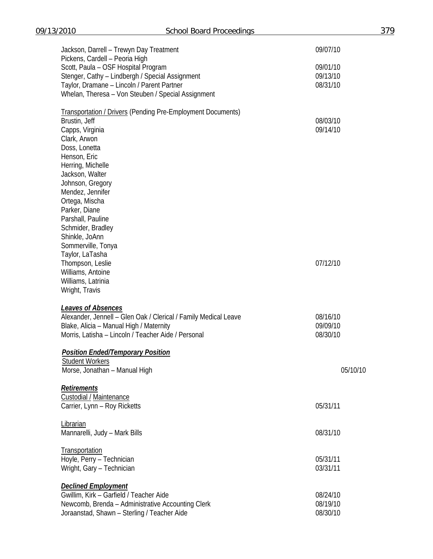| Jackson, Darrell - Trewyn Day Treatment                                                                                  | 09/07/10             |
|--------------------------------------------------------------------------------------------------------------------------|----------------------|
| Pickens, Cardell - Peoria High<br>Scott, Paula - OSF Hospital Program<br>Stenger, Cathy - Lindbergh / Special Assignment | 09/01/10<br>09/13/10 |
| Taylor, Dramane - Lincoln / Parent Partner<br>Whelan, Theresa - Von Steuben / Special Assignment                         | 08/31/10             |
| <b>Transportation / Drivers (Pending Pre-Employment Documents)</b>                                                       |                      |
| Brustin, Jeff                                                                                                            | 08/03/10             |
| Capps, Virginia                                                                                                          | 09/14/10             |
| Clark, Arwon                                                                                                             |                      |
| Doss, Lonetta                                                                                                            |                      |
| Henson, Eric                                                                                                             |                      |
| Herring, Michelle                                                                                                        |                      |
| Jackson, Walter                                                                                                          |                      |
| Johnson, Gregory                                                                                                         |                      |
| Mendez, Jennifer                                                                                                         |                      |
| Ortega, Mischa                                                                                                           |                      |
| Parker, Diane                                                                                                            |                      |
| Parshall, Pauline                                                                                                        |                      |
| Schmider, Bradley                                                                                                        |                      |
| Shinkle, JoAnn                                                                                                           |                      |
| Sommerville, Tonya                                                                                                       |                      |
| Taylor, LaTasha                                                                                                          | 07/12/10             |
| Thompson, Leslie<br>Williams, Antoine                                                                                    |                      |
| Williams, Latrinia                                                                                                       |                      |
| Wright, Travis                                                                                                           |                      |
|                                                                                                                          |                      |
| <b>Leaves of Absences</b>                                                                                                |                      |
| Alexander, Jennell - Glen Oak / Clerical / Family Medical Leave                                                          | 08/16/10             |
| Blake, Alicia - Manual High / Maternity                                                                                  | 09/09/10             |
| Morris, Latisha - Lincoln / Teacher Aide / Personal                                                                      | 08/30/10             |
| <b>Position Ended/Temporary Position</b>                                                                                 |                      |
| <b>Student Workers</b>                                                                                                   | 05/10/10             |
| Morse, Jonathan - Manual High                                                                                            |                      |
| Retirements                                                                                                              |                      |
| Custodial / Maintenance                                                                                                  |                      |
| Carrier, Lynn - Roy Ricketts                                                                                             | 05/31/11             |
| Librarian                                                                                                                |                      |
| Mannarelli, Judy - Mark Bills                                                                                            | 08/31/10             |
| Transportation                                                                                                           |                      |
| Hoyle, Perry - Technician                                                                                                | 05/31/11             |
| Wright, Gary - Technician                                                                                                | 03/31/11             |
| <b>Declined Employment</b>                                                                                               |                      |
| Gwillim, Kirk - Garfield / Teacher Aide                                                                                  | 08/24/10             |
| Newcomb, Brenda - Administrative Accounting Clerk                                                                        | 08/19/10             |
| Joraanstad, Shawn - Sterling / Teacher Aide                                                                              | 08/30/10             |
|                                                                                                                          |                      |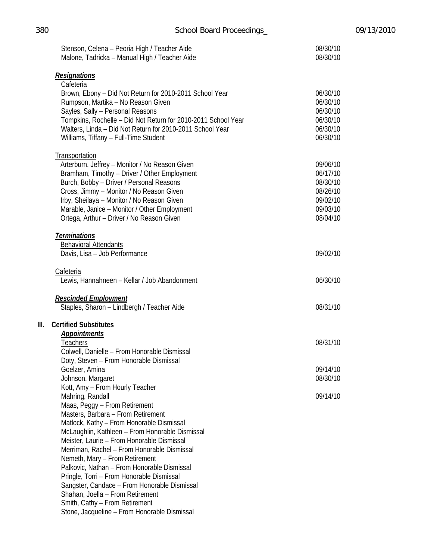|      | Stenson, Celena - Peoria High / Teacher Aide<br>Malone, Tadricka - Manual High / Teacher Aide | 08/30/10<br>08/30/10 |
|------|-----------------------------------------------------------------------------------------------|----------------------|
|      | <b>Resignations</b>                                                                           |                      |
|      | Cafeteria                                                                                     |                      |
|      | Brown, Ebony - Did Not Return for 2010-2011 School Year                                       | 06/30/10             |
|      | Rumpson, Martika - No Reason Given                                                            | 06/30/10             |
|      | Sayles, Sally - Personal Reasons                                                              | 06/30/10             |
|      | Tompkins, Rochelle - Did Not Return for 2010-2011 School Year                                 | 06/30/10             |
|      | Walters, Linda - Did Not Return for 2010-2011 School Year                                     | 06/30/10             |
|      | Williams, Tiffany - Full-Time Student                                                         | 06/30/10             |
|      | <b>Transportation</b>                                                                         |                      |
|      | Arterburn, Jeffrey - Monitor / No Reason Given                                                | 09/06/10             |
|      | Bramham, Timothy - Driver / Other Employment                                                  | 06/17/10             |
|      | Burch, Bobby - Driver / Personal Reasons                                                      | 08/30/10             |
|      | Cross, Jimmy - Monitor / No Reason Given                                                      | 08/26/10             |
|      | Irby, Sheilaya - Monitor / No Reason Given                                                    | 09/02/10             |
|      | Marable, Janice - Monitor / Other Employment                                                  | 09/03/10             |
|      | Ortega, Arthur - Driver / No Reason Given                                                     | 08/04/10             |
|      | <b>Terminations</b>                                                                           |                      |
|      | <b>Behavioral Attendants</b><br>Davis, Lisa - Job Performance                                 | 09/02/10             |
|      |                                                                                               |                      |
|      | <b>Cafeteria</b><br>Lewis, Hannahneen - Kellar / Job Abandonment                              | 06/30/10             |
|      |                                                                                               |                      |
|      | <b>Rescinded Employment</b>                                                                   |                      |
|      | Staples, Sharon - Lindbergh / Teacher Aide                                                    | 08/31/10             |
| III. | <b>Certified Substitutes</b>                                                                  |                      |
|      | <b>Appointments</b>                                                                           |                      |
|      | Teachers                                                                                      | 08/31/10             |
|      | Colwell, Danielle - From Honorable Dismissal                                                  |                      |
|      | Doty, Steven - From Honorable Dismissal                                                       |                      |
|      | Goelzer, Amina                                                                                | 09/14/10             |
|      | Johnson, Margaret                                                                             | 08/30/10             |
|      | Kott, Amy - From Hourly Teacher                                                               | 09/14/10             |
|      | Mahring, Randall<br>Maas, Peggy - From Retirement                                             |                      |
|      | Masters, Barbara - From Retirement                                                            |                      |
|      | Matlock, Kathy - From Honorable Dismissal                                                     |                      |
|      | McLaughlin, Kathleen - From Honorable Dismissal                                               |                      |
|      | Meister, Laurie - From Honorable Dismissal                                                    |                      |
|      | Merriman, Rachel - From Honorable Dismissal                                                   |                      |
|      | Nemeth, Mary - From Retirement                                                                |                      |
|      | Palkovic, Nathan - From Honorable Dismissal                                                   |                      |
|      | Pringle, Torri - From Honorable Dismissal                                                     |                      |
|      | Sangster, Candace - From Honorable Dismissal                                                  |                      |
|      | Shahan, Joella - From Retirement                                                              |                      |
|      | Smith, Cathy - From Retirement                                                                |                      |
|      | Stone, Jacqueline - From Honorable Dismissal                                                  |                      |

**III. Certified Substitutes**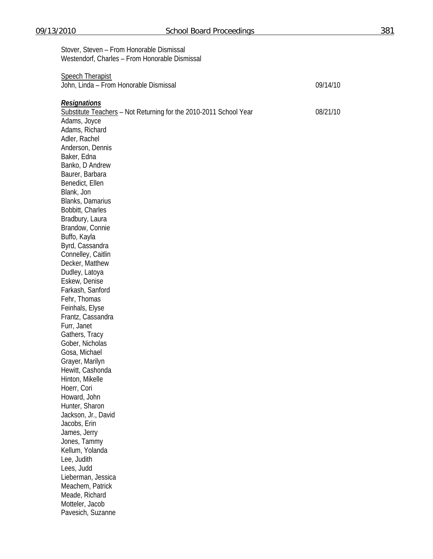| Stover, Steven - From Honorable Dismissal<br>Westendorf, Charles - From Honorable Dismissal              |          |
|----------------------------------------------------------------------------------------------------------|----------|
| <b>Speech Therapist</b><br>John, Linda - From Honorable Dismissal                                        | 09/14/10 |
| <b>Resignations</b><br>Substitute Teachers - Not Returning for the 2010-2011 School Year<br>Adams, Joyce | 08/21/10 |
| Adams, Richard<br>Adler, Rachel                                                                          |          |
| Anderson, Dennis                                                                                         |          |
| Baker, Edna                                                                                              |          |
| Banko, D Andrew<br>Baurer, Barbara                                                                       |          |
| Benedict, Ellen                                                                                          |          |
| Blank, Jon                                                                                               |          |
| Blanks, Damarius                                                                                         |          |
| Bobbitt, Charles                                                                                         |          |
| Bradbury, Laura                                                                                          |          |
| Brandow, Connie                                                                                          |          |
| Buffo, Kayla                                                                                             |          |
| Byrd, Cassandra                                                                                          |          |
| Connelley, Caitlin<br>Decker, Matthew                                                                    |          |
| Dudley, Latoya                                                                                           |          |
| Eskew, Denise                                                                                            |          |
| Farkash, Sanford                                                                                         |          |
| Fehr, Thomas                                                                                             |          |
| Feinhals, Elyse                                                                                          |          |
| Frantz, Cassandra                                                                                        |          |
| Furr, Janet                                                                                              |          |
| Gathers, Tracy                                                                                           |          |
| Gober, Nicholas<br>Gosa, Michael                                                                         |          |
| Grayer, Marilyn                                                                                          |          |
| Hewitt, Cashonda                                                                                         |          |
| Hinton, Mikelle                                                                                          |          |
| Hoerr, Cori                                                                                              |          |
| Howard, John                                                                                             |          |
| Hunter, Sharon                                                                                           |          |
| Jackson, Jr., David                                                                                      |          |
| Jacobs, Erin                                                                                             |          |
| James, Jerry                                                                                             |          |
| Jones, Tammy<br>Kellum, Yolanda                                                                          |          |
| Lee, Judith                                                                                              |          |
| Lees, Judd                                                                                               |          |
| Lieberman, Jessica                                                                                       |          |
| Meachem, Patrick                                                                                         |          |
| Meade, Richard                                                                                           |          |
| Motteler, Jacob                                                                                          |          |
| Pavesich, Suzanne                                                                                        |          |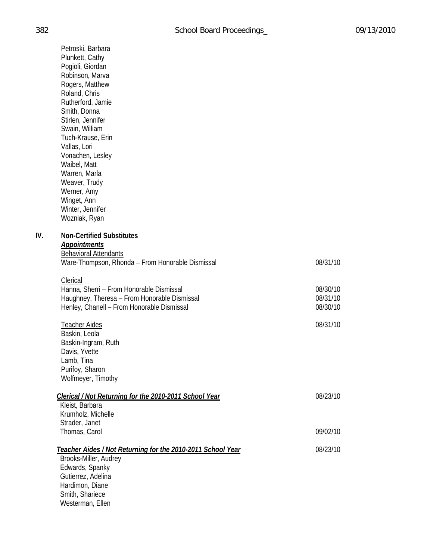Petroski, Barbara Plunkett, Cathy Pogioli, Giordan Robinson, Marva Rogers, Matthew Roland, Chris Rutherford, Jamie Smith, Donna Stirlen, Jennifer Swain, William Tuch-Krause, Erin Vallas, Lori Vonachen, Lesley Waibel, Matt Warren, Marla Weaver, Trudy Werner, Amy Winget, Ann Winter, Jennifer Wozniak, Ryan

## **IV. Non-Certified Substitutes**

#### *Appointments*

| <b>Behavioral Attendants</b>                     |          |
|--------------------------------------------------|----------|
| Ware-Thompson, Rhonda – From Honorable Dismissal | 08/31/10 |
| Clerical                                         |          |
| Hanna, Sherri - From Honorable Dismissal         | 08/30/10 |
| Haughney, Theresa - From Honorable Dismissal     | 08/31/10 |
| Henley, Chanell - From Honorable Dismissal       | 08/30/10 |
| Teacher Aides                                    | 08/31/10 |

 Baskin, Leola Baskin-Ingram, Ruth Davis, Yvette Lamb, Tina Purifoy, Sharon Wolfmeyer, Timothy

Westerman, Ellen

| Clerical / Not Returning for the 2010-2011 School Year                               | 08/23/10 |
|--------------------------------------------------------------------------------------|----------|
| Kleist, Barbara                                                                      |          |
| Krumholz, Michelle                                                                   |          |
| Strader, Janet                                                                       |          |
| Thomas, Carol                                                                        | 09/02/10 |
| Teacher Aides / Not Returning for the 2010-2011 School Year<br>Brooks-Miller, Audrey | 08/23/10 |
|                                                                                      |          |
| Edwards, Spanky                                                                      |          |
| Gutierrez, Adelina                                                                   |          |
| Hardimon, Diane                                                                      |          |
| Smith, Shariece                                                                      |          |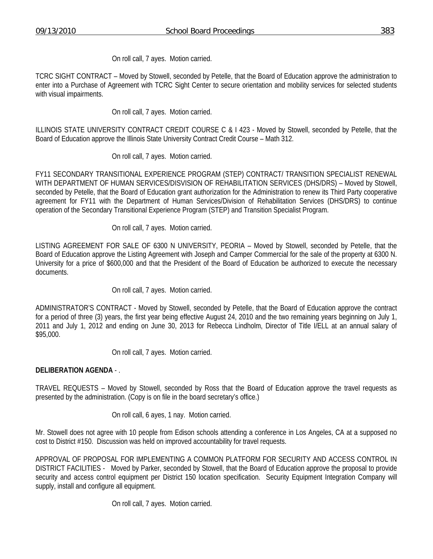On roll call, 7 ayes. Motion carried.

TCRC SIGHT CONTRACT – Moved by Stowell, seconded by Petelle, that the Board of Education approve the administration to enter into a Purchase of Agreement with TCRC Sight Center to secure orientation and mobility services for selected students with visual impairments.

On roll call, 7 ayes. Motion carried.

ILLINOIS STATE UNIVERSITY CONTRACT CREDIT COURSE C & I 423 - Moved by Stowell, seconded by Petelle, that the Board of Education approve the Illinois State University Contract Credit Course – Math 312.

On roll call, 7 ayes. Motion carried.

FY11 SECONDARY TRANSITIONAL EXPERIENCE PROGRAM (STEP) CONTRACT/ TRANSITION SPECIALIST RENEWAL WITH DEPARTMENT OF HUMAN SERVICES/DISVISION OF REHABILITATION SERVICES (DHS/DRS) – Moved by Stowell, seconded by Petelle, that the Board of Education grant authorization for the Administration to renew its Third Party cooperative agreement for FY11 with the Department of Human Services/Division of Rehabilitation Services (DHS/DRS) to continue operation of the Secondary Transitional Experience Program (STEP) and Transition Specialist Program.

On roll call, 7 ayes. Motion carried.

LISTING AGREEMENT FOR SALE OF 6300 N UNIVERSITY, PEORIA – Moved by Stowell, seconded by Petelle, that the Board of Education approve the Listing Agreement with Joseph and Camper Commercial for the sale of the property at 6300 N. University for a price of \$600,000 and that the President of the Board of Education be authorized to execute the necessary documents.

On roll call, 7 ayes. Motion carried.

ADMINISTRATOR'S CONTRACT - Moved by Stowell, seconded by Petelle, that the Board of Education approve the contract for a period of three (3) years, the first year being effective August 24, 2010 and the two remaining years beginning on July 1, 2011 and July 1, 2012 and ending on June 30, 2013 for Rebecca Lindholm, Director of Title I/ELL at an annual salary of \$95,000.

On roll call, 7 ayes. Motion carried.

## **DELIBERATION AGENDA** - .

TRAVEL REQUESTS – Moved by Stowell, seconded by Ross that the Board of Education approve the travel requests as presented by the administration. (Copy is on file in the board secretary's office.)

On roll call, 6 ayes, 1 nay. Motion carried.

Mr. Stowell does not agree with 10 people from Edison schools attending a conference in Los Angeles, CA at a supposed no cost to District #150. Discussion was held on improved accountability for travel requests.

APPROVAL OF PROPOSAL FOR IMPLEMENTING A COMMON PLATFORM FOR SECURITY AND ACCESS CONTROL IN DISTRICT FACILITIES - Moved by Parker, seconded by Stowell, that the Board of Education approve the proposal to provide security and access control equipment per District 150 location specification. Security Equipment Integration Company will supply, install and configure all equipment.

On roll call, 7 ayes. Motion carried.